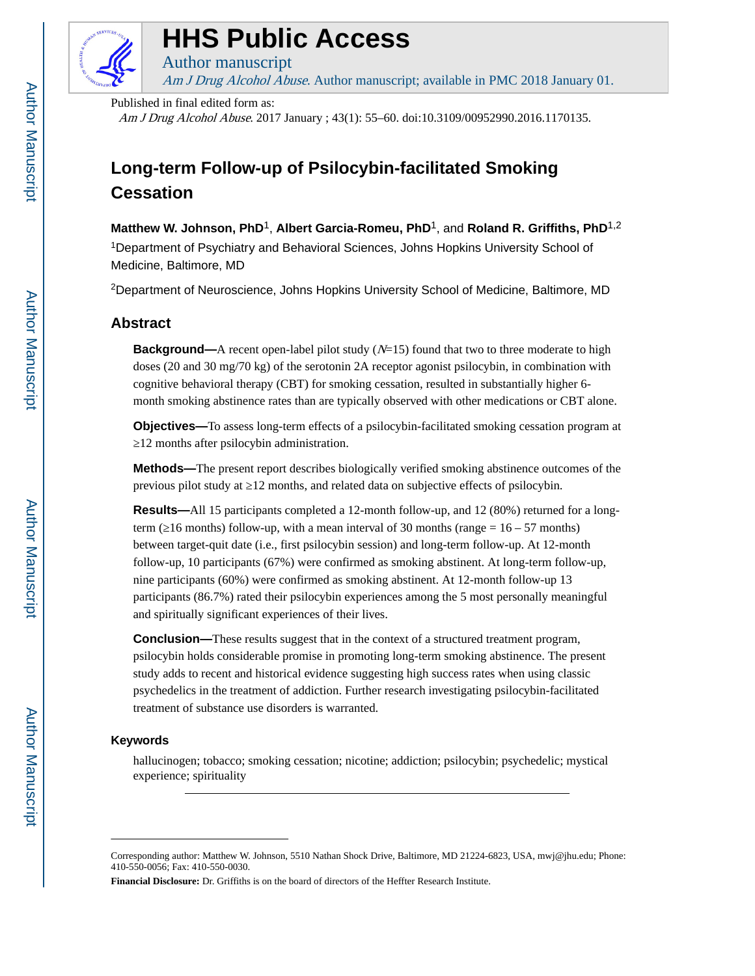

# **HHS Public Access**

Author manuscript Am J Drug Alcohol Abuse. Author manuscript; available in PMC 2018 January 01.

Published in final edited form as:

Am J Drug Alcohol Abuse. 2017 January ; 43(1): 55–60. doi:10.3109/00952990.2016.1170135.

## **Long-term Follow-up of Psilocybin-facilitated Smoking Cessation**

**Matthew W. Johnson, PhD**1, **Albert Garcia-Romeu, PhD**1, and **Roland R. Griffiths, PhD**1,2 <sup>1</sup>Department of Psychiatry and Behavioral Sciences, Johns Hopkins University School of Medicine, Baltimore, MD

<sup>2</sup>Department of Neuroscience, Johns Hopkins University School of Medicine, Baltimore, MD

## **Abstract**

**Background—**A recent open-label pilot study ( $N=15$ ) found that two to three moderate to high doses (20 and 30 mg/70 kg) of the serotonin 2A receptor agonist psilocybin, in combination with cognitive behavioral therapy (CBT) for smoking cessation, resulted in substantially higher 6 month smoking abstinence rates than are typically observed with other medications or CBT alone.

**Objectives—**To assess long-term effects of a psilocybin-facilitated smoking cessation program at ≥12 months after psilocybin administration.

**Methods—**The present report describes biologically verified smoking abstinence outcomes of the previous pilot study at 12 months, and related data on subjective effects of psilocybin.

**Results—**All 15 participants completed a 12-month follow-up, and 12 (80%) returned for a longterm ( $16$  months) follow-up, with a mean interval of 30 months (range =  $16 - 57$  months) between target-quit date (i.e., first psilocybin session) and long-term follow-up. At 12-month follow-up, 10 participants (67%) were confirmed as smoking abstinent. At long-term follow-up, nine participants (60%) were confirmed as smoking abstinent. At 12-month follow-up 13 participants (86.7%) rated their psilocybin experiences among the 5 most personally meaningful and spiritually significant experiences of their lives.

**Conclusion—**These results suggest that in the context of a structured treatment program, psilocybin holds considerable promise in promoting long-term smoking abstinence. The present study adds to recent and historical evidence suggesting high success rates when using classic psychedelics in the treatment of addiction. Further research investigating psilocybin-facilitated treatment of substance use disorders is warranted.

## **Keywords**

hallucinogen; tobacco; smoking cessation; nicotine; addiction; psilocybin; psychedelic; mystical experience; spirituality

Corresponding author: Matthew W. Johnson, 5510 Nathan Shock Drive, Baltimore, MD 21224-6823, USA, mwj@jhu.edu; Phone: 410-550-0056; Fax: 410-550-0030.

**Financial Disclosure:** Dr. Griffiths is on the board of directors of the Heffter Research Institute.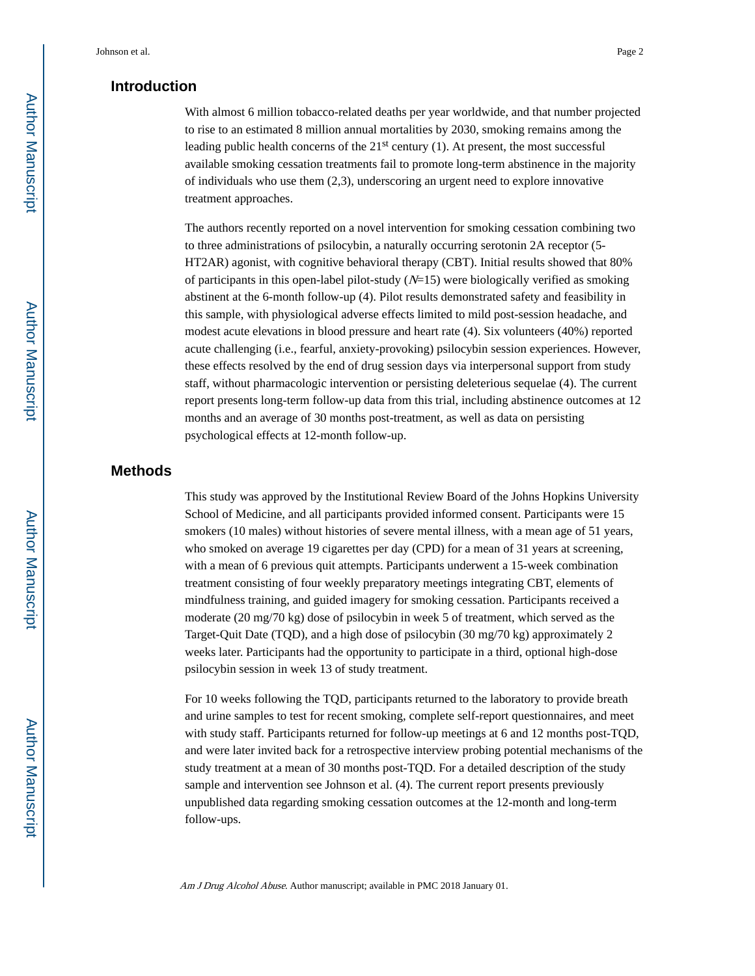## **Introduction**

With almost 6 million tobacco-related deaths per year worldwide, and that number projected to rise to an estimated 8 million annual mortalities by 2030, smoking remains among the leading public health concerns of the 21st century (1). At present, the most successful available smoking cessation treatments fail to promote long-term abstinence in the majority of individuals who use them (2,3), underscoring an urgent need to explore innovative treatment approaches.

The authors recently reported on a novel intervention for smoking cessation combining two to three administrations of psilocybin, a naturally occurring serotonin 2A receptor (5- HT2AR) agonist, with cognitive behavioral therapy (CBT). Initial results showed that 80% of participants in this open-label pilot-study  $(N=15)$  were biologically verified as smoking abstinent at the 6-month follow-up (4). Pilot results demonstrated safety and feasibility in this sample, with physiological adverse effects limited to mild post-session headache, and modest acute elevations in blood pressure and heart rate (4). Six volunteers (40%) reported acute challenging (i.e., fearful, anxiety-provoking) psilocybin session experiences. However, these effects resolved by the end of drug session days via interpersonal support from study staff, without pharmacologic intervention or persisting deleterious sequelae (4). The current report presents long-term follow-up data from this trial, including abstinence outcomes at 12 months and an average of 30 months post-treatment, as well as data on persisting psychological effects at 12-month follow-up.

## **Methods**

This study was approved by the Institutional Review Board of the Johns Hopkins University School of Medicine, and all participants provided informed consent. Participants were 15 smokers (10 males) without histories of severe mental illness, with a mean age of 51 years, who smoked on average 19 cigarettes per day (CPD) for a mean of 31 years at screening, with a mean of 6 previous quit attempts. Participants underwent a 15-week combination treatment consisting of four weekly preparatory meetings integrating CBT, elements of mindfulness training, and guided imagery for smoking cessation. Participants received a moderate (20 mg/70 kg) dose of psilocybin in week 5 of treatment, which served as the Target-Quit Date (TQD), and a high dose of psilocybin (30 mg/70 kg) approximately 2 weeks later. Participants had the opportunity to participate in a third, optional high-dose psilocybin session in week 13 of study treatment.

For 10 weeks following the TQD, participants returned to the laboratory to provide breath and urine samples to test for recent smoking, complete self-report questionnaires, and meet with study staff. Participants returned for follow-up meetings at 6 and 12 months post-TQD, and were later invited back for a retrospective interview probing potential mechanisms of the study treatment at a mean of 30 months post-TQD. For a detailed description of the study sample and intervention see Johnson et al. (4). The current report presents previously unpublished data regarding smoking cessation outcomes at the 12-month and long-term follow-ups.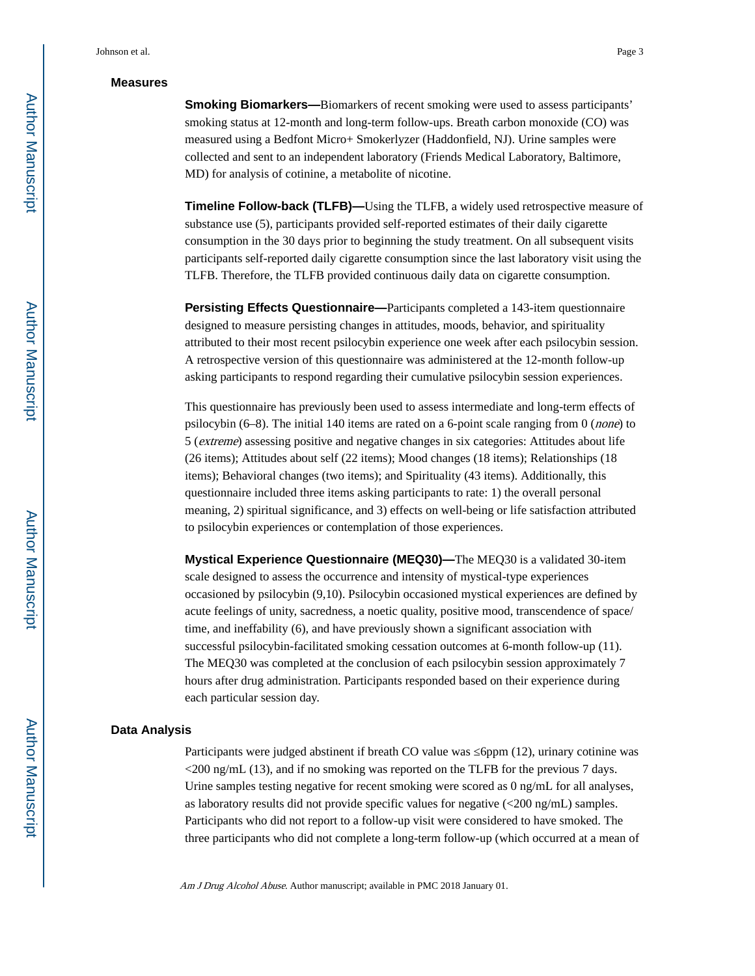#### **Measures**

**Smoking Biomarkers—**Biomarkers of recent smoking were used to assess participants' smoking status at 12-month and long-term follow-ups. Breath carbon monoxide (CO) was measured using a Bedfont Micro+ Smokerlyzer (Haddonfield, NJ). Urine samples were collected and sent to an independent laboratory (Friends Medical Laboratory, Baltimore, MD) for analysis of cotinine, a metabolite of nicotine.

**Timeline Follow-back (TLFB)—**Using the TLFB, a widely used retrospective measure of substance use (5), participants provided self-reported estimates of their daily cigarette consumption in the 30 days prior to beginning the study treatment. On all subsequent visits participants self-reported daily cigarette consumption since the last laboratory visit using the TLFB. Therefore, the TLFB provided continuous daily data on cigarette consumption.

**Persisting Effects Questionnaire—**Participants completed a 143-item questionnaire designed to measure persisting changes in attitudes, moods, behavior, and spirituality attributed to their most recent psilocybin experience one week after each psilocybin session. A retrospective version of this questionnaire was administered at the 12-month follow-up asking participants to respond regarding their cumulative psilocybin session experiences.

This questionnaire has previously been used to assess intermediate and long-term effects of psilocybin  $(6-8)$ . The initial 140 items are rated on a 6-point scale ranging from 0 (*none*) to 5 (extreme) assessing positive and negative changes in six categories: Attitudes about life (26 items); Attitudes about self (22 items); Mood changes (18 items); Relationships (18 items); Behavioral changes (two items); and Spirituality (43 items). Additionally, this questionnaire included three items asking participants to rate: 1) the overall personal meaning, 2) spiritual significance, and 3) effects on well-being or life satisfaction attributed to psilocybin experiences or contemplation of those experiences.

**Mystical Experience Questionnaire (MEQ30)—**The MEQ30 is a validated 30-item scale designed to assess the occurrence and intensity of mystical-type experiences occasioned by psilocybin (9,10). Psilocybin occasioned mystical experiences are defined by acute feelings of unity, sacredness, a noetic quality, positive mood, transcendence of space/ time, and ineffability (6), and have previously shown a significant association with successful psilocybin-facilitated smoking cessation outcomes at 6-month follow-up (11). The MEQ30 was completed at the conclusion of each psilocybin session approximately 7 hours after drug administration. Participants responded based on their experience during each particular session day.

#### **Data Analysis**

Participants were judged abstinent if breath CO value was ≤6ppm (12), urinary cotinine was  $\langle 200 \text{ ng/mL}$  (13), and if no smoking was reported on the TLFB for the previous 7 days. Urine samples testing negative for recent smoking were scored as 0 ng/mL for all analyses, as laboratory results did not provide specific values for negative  $\langle \langle 200 \text{ ng/mL} \rangle$  samples. Participants who did not report to a follow-up visit were considered to have smoked. The three participants who did not complete a long-term follow-up (which occurred at a mean of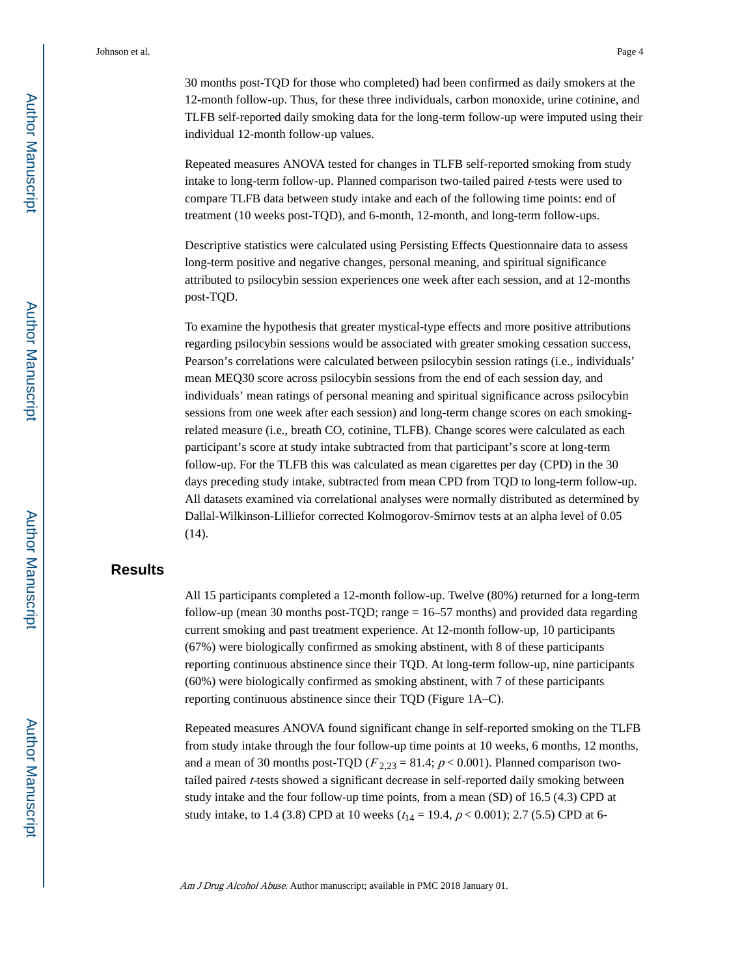Johnson et al. Page 4

30 months post-TQD for those who completed) had been confirmed as daily smokers at the 12-month follow-up. Thus, for these three individuals, carbon monoxide, urine cotinine, and TLFB self-reported daily smoking data for the long-term follow-up were imputed using their individual 12-month follow-up values.

Repeated measures ANOVA tested for changes in TLFB self-reported smoking from study intake to long-term follow-up. Planned comparison two-tailed paired t-tests were used to compare TLFB data between study intake and each of the following time points: end of treatment (10 weeks post-TQD), and 6-month, 12-month, and long-term follow-ups.

Descriptive statistics were calculated using Persisting Effects Questionnaire data to assess long-term positive and negative changes, personal meaning, and spiritual significance attributed to psilocybin session experiences one week after each session, and at 12-months post-TQD.

To examine the hypothesis that greater mystical-type effects and more positive attributions regarding psilocybin sessions would be associated with greater smoking cessation success, Pearson's correlations were calculated between psilocybin session ratings (i.e., individuals' mean MEQ30 score across psilocybin sessions from the end of each session day, and individuals' mean ratings of personal meaning and spiritual significance across psilocybin sessions from one week after each session) and long-term change scores on each smokingrelated measure (i.e., breath CO, cotinine, TLFB). Change scores were calculated as each participant's score at study intake subtracted from that participant's score at long-term follow-up. For the TLFB this was calculated as mean cigarettes per day (CPD) in the 30 days preceding study intake, subtracted from mean CPD from TQD to long-term follow-up. All datasets examined via correlational analyses were normally distributed as determined by Dallal-Wilkinson-Lilliefor corrected Kolmogorov-Smirnov tests at an alpha level of 0.05 (14).

## **Results**

All 15 participants completed a 12-month follow-up. Twelve (80%) returned for a long-term follow-up (mean 30 months post-TQD; range = 16–57 months) and provided data regarding current smoking and past treatment experience. At 12-month follow-up, 10 participants (67%) were biologically confirmed as smoking abstinent, with 8 of these participants reporting continuous abstinence since their TQD. At long-term follow-up, nine participants (60%) were biologically confirmed as smoking abstinent, with 7 of these participants reporting continuous abstinence since their TQD (Figure 1A–C).

Repeated measures ANOVA found significant change in self-reported smoking on the TLFB from study intake through the four follow-up time points at 10 weeks, 6 months, 12 months, and a mean of 30 months post-TQD ( $F_{2,23} = 81.4$ ;  $p < 0.001$ ). Planned comparison twotailed paired t-tests showed a significant decrease in self-reported daily smoking between study intake and the four follow-up time points, from a mean (SD) of 16.5 (4.3) CPD at study intake, to 1.4 (3.8) CPD at 10 weeks ( $t_{14} = 19.4$ ,  $p < 0.001$ ); 2.7 (5.5) CPD at 6-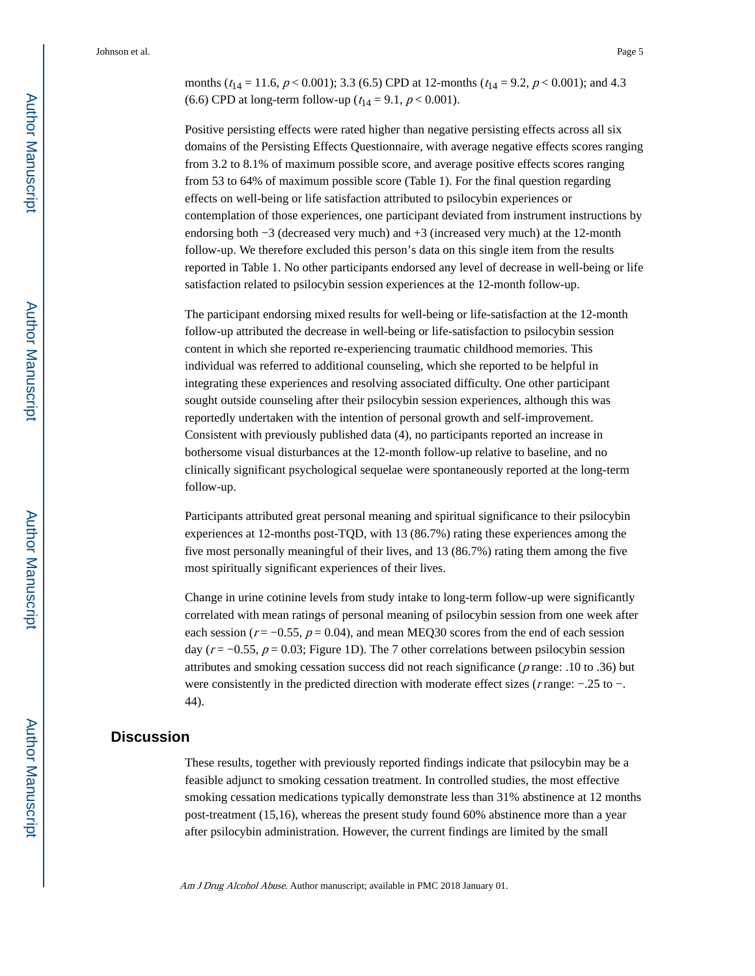Johnson et al. Page 5

months ( $t_{14} = 11.6$ ,  $p < 0.001$ ); 3.3 (6.5) CPD at 12-months ( $t_{14} = 9.2$ ,  $p < 0.001$ ); and 4.3 (6.6) CPD at long-term follow-up ( $t_{14} = 9.1, p < 0.001$ ).

Positive persisting effects were rated higher than negative persisting effects across all six domains of the Persisting Effects Questionnaire, with average negative effects scores ranging from 3.2 to 8.1% of maximum possible score, and average positive effects scores ranging from 53 to 64% of maximum possible score (Table 1). For the final question regarding effects on well-being or life satisfaction attributed to psilocybin experiences or contemplation of those experiences, one participant deviated from instrument instructions by endorsing both −3 (decreased very much) and +3 (increased very much) at the 12-month follow-up. We therefore excluded this person's data on this single item from the results reported in Table 1. No other participants endorsed any level of decrease in well-being or life satisfaction related to psilocybin session experiences at the 12-month follow-up.

The participant endorsing mixed results for well-being or life-satisfaction at the 12-month follow-up attributed the decrease in well-being or life-satisfaction to psilocybin session content in which she reported re-experiencing traumatic childhood memories. This individual was referred to additional counseling, which she reported to be helpful in integrating these experiences and resolving associated difficulty. One other participant sought outside counseling after their psilocybin session experiences, although this was reportedly undertaken with the intention of personal growth and self-improvement. Consistent with previously published data (4), no participants reported an increase in bothersome visual disturbances at the 12-month follow-up relative to baseline, and no clinically significant psychological sequelae were spontaneously reported at the long-term follow-up.

Participants attributed great personal meaning and spiritual significance to their psilocybin experiences at 12-months post-TQD, with 13 (86.7%) rating these experiences among the five most personally meaningful of their lives, and 13 (86.7%) rating them among the five most spiritually significant experiences of their lives.

Change in urine cotinine levels from study intake to long-term follow-up were significantly correlated with mean ratings of personal meaning of psilocybin session from one week after each session ( $r = -0.55$ ,  $p = 0.04$ ), and mean MEQ30 scores from the end of each session day ( $r = -0.55$ ,  $p = 0.03$ ; Figure 1D). The 7 other correlations between psilocybin session attributes and smoking cessation success did not reach significance ( $p$  range: .10 to .36) but were consistently in the predicted direction with moderate effect sizes (r range: −.25 to −. 44).

### **Discussion**

These results, together with previously reported findings indicate that psilocybin may be a feasible adjunct to smoking cessation treatment. In controlled studies, the most effective smoking cessation medications typically demonstrate less than 31% abstinence at 12 months post-treatment (15,16), whereas the present study found 60% abstinence more than a year after psilocybin administration. However, the current findings are limited by the small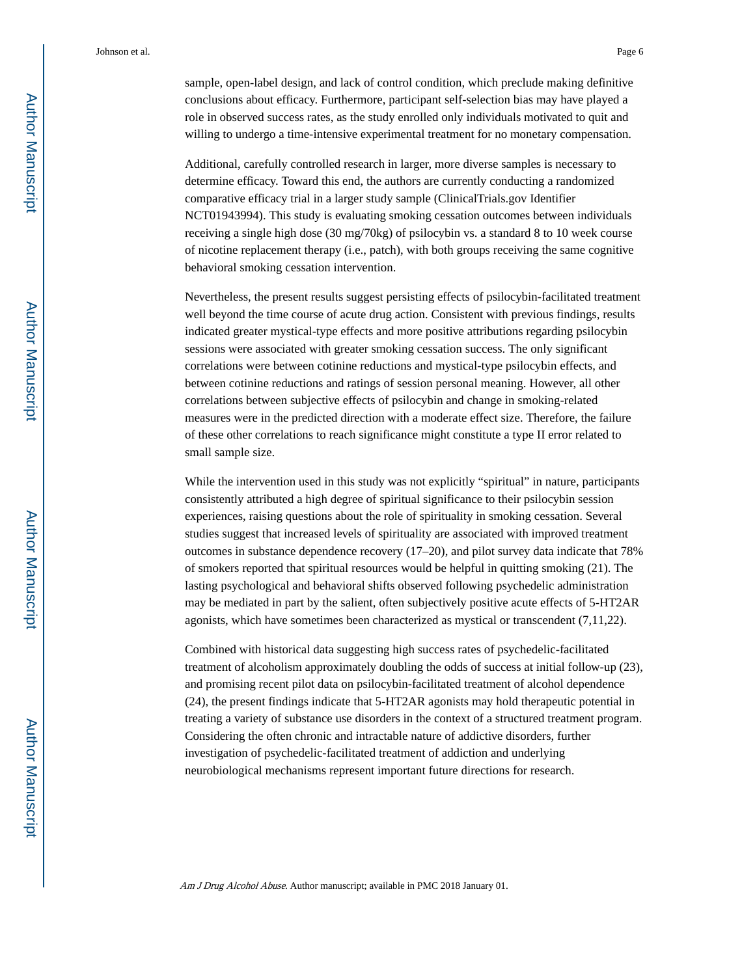sample, open-label design, and lack of control condition, which preclude making definitive conclusions about efficacy. Furthermore, participant self-selection bias may have played a role in observed success rates, as the study enrolled only individuals motivated to quit and willing to undergo a time-intensive experimental treatment for no monetary compensation.

Additional, carefully controlled research in larger, more diverse samples is necessary to determine efficacy. Toward this end, the authors are currently conducting a randomized comparative efficacy trial in a larger study sample (ClinicalTrials.gov Identifier NCT01943994). This study is evaluating smoking cessation outcomes between individuals receiving a single high dose (30 mg/70kg) of psilocybin vs. a standard 8 to 10 week course of nicotine replacement therapy (i.e., patch), with both groups receiving the same cognitive behavioral smoking cessation intervention.

Nevertheless, the present results suggest persisting effects of psilocybin-facilitated treatment well beyond the time course of acute drug action. Consistent with previous findings, results indicated greater mystical-type effects and more positive attributions regarding psilocybin sessions were associated with greater smoking cessation success. The only significant correlations were between cotinine reductions and mystical-type psilocybin effects, and between cotinine reductions and ratings of session personal meaning. However, all other correlations between subjective effects of psilocybin and change in smoking-related measures were in the predicted direction with a moderate effect size. Therefore, the failure of these other correlations to reach significance might constitute a type II error related to small sample size.

While the intervention used in this study was not explicitly "spiritual" in nature, participants consistently attributed a high degree of spiritual significance to their psilocybin session experiences, raising questions about the role of spirituality in smoking cessation. Several studies suggest that increased levels of spirituality are associated with improved treatment outcomes in substance dependence recovery (17–20), and pilot survey data indicate that 78% of smokers reported that spiritual resources would be helpful in quitting smoking (21). The lasting psychological and behavioral shifts observed following psychedelic administration may be mediated in part by the salient, often subjectively positive acute effects of 5-HT2AR agonists, which have sometimes been characterized as mystical or transcendent (7,11,22).

Combined with historical data suggesting high success rates of psychedelic-facilitated treatment of alcoholism approximately doubling the odds of success at initial follow-up (23), and promising recent pilot data on psilocybin-facilitated treatment of alcohol dependence (24), the present findings indicate that 5-HT2AR agonists may hold therapeutic potential in treating a variety of substance use disorders in the context of a structured treatment program. Considering the often chronic and intractable nature of addictive disorders, further investigation of psychedelic-facilitated treatment of addiction and underlying neurobiological mechanisms represent important future directions for research.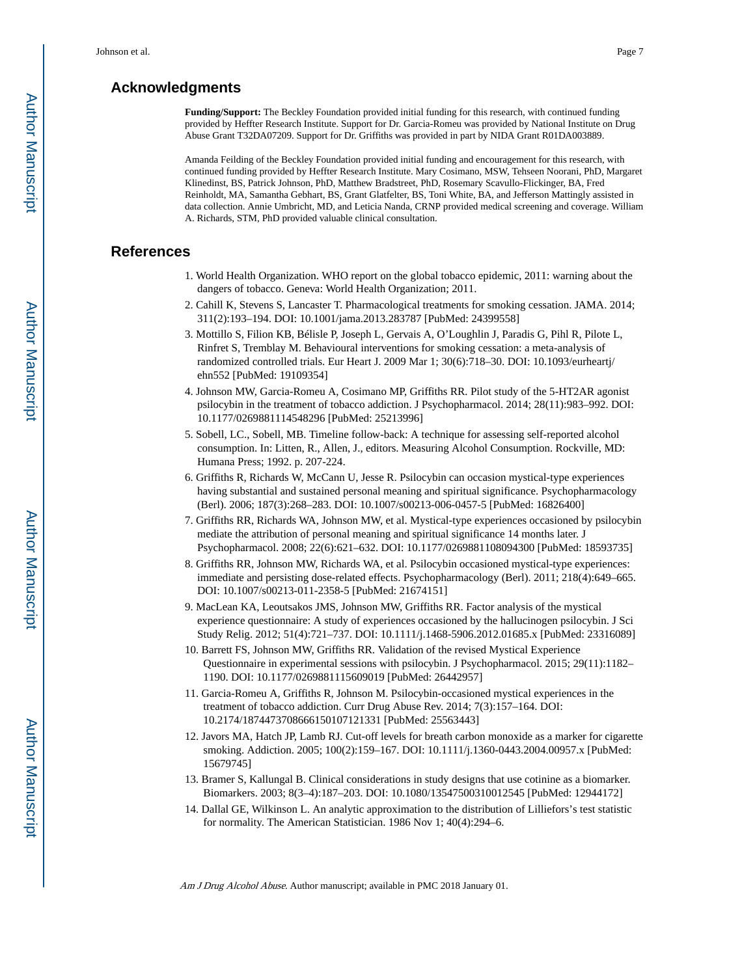## **Acknowledgments**

**Funding/Support:** The Beckley Foundation provided initial funding for this research, with continued funding provided by Heffter Research Institute. Support for Dr. Garcia-Romeu was provided by National Institute on Drug Abuse Grant T32DA07209. Support for Dr. Griffiths was provided in part by NIDA Grant R01DA003889.

Amanda Feilding of the Beckley Foundation provided initial funding and encouragement for this research, with continued funding provided by Heffter Research Institute. Mary Cosimano, MSW, Tehseen Noorani, PhD, Margaret Klinedinst, BS, Patrick Johnson, PhD, Matthew Bradstreet, PhD, Rosemary Scavullo-Flickinger, BA, Fred Reinholdt, MA, Samantha Gebhart, BS, Grant Glatfelter, BS, Toni White, BA, and Jefferson Mattingly assisted in data collection. Annie Umbricht, MD, and Leticia Nanda, CRNP provided medical screening and coverage. William A. Richards, STM, PhD provided valuable clinical consultation.

## **References**

- 1. World Health Organization. WHO report on the global tobacco epidemic, 2011: warning about the dangers of tobacco. Geneva: World Health Organization; 2011.
- 2. Cahill K, Stevens S, Lancaster T. Pharmacological treatments for smoking cessation. JAMA. 2014; 311(2):193–194. DOI: 10.1001/jama.2013.283787 [PubMed: 24399558]
- 3. Mottillo S, Filion KB, Bélisle P, Joseph L, Gervais A, O'Loughlin J, Paradis G, Pihl R, Pilote L, Rinfret S, Tremblay M. Behavioural interventions for smoking cessation: a meta-analysis of randomized controlled trials. Eur Heart J. 2009 Mar 1; 30(6):718–30. DOI: 10.1093/eurheartj/ ehn552 [PubMed: 19109354]
- 4. Johnson MW, Garcia-Romeu A, Cosimano MP, Griffiths RR. Pilot study of the 5-HT2AR agonist psilocybin in the treatment of tobacco addiction. J Psychopharmacol. 2014; 28(11):983–992. DOI: 10.1177/0269881114548296 [PubMed: 25213996]
- 5. Sobell, LC., Sobell, MB. Timeline follow-back: A technique for assessing self-reported alcohol consumption. In: Litten, R., Allen, J., editors. Measuring Alcohol Consumption. Rockville, MD: Humana Press; 1992. p. 207-224.
- 6. Griffiths R, Richards W, McCann U, Jesse R. Psilocybin can occasion mystical-type experiences having substantial and sustained personal meaning and spiritual significance. Psychopharmacology (Berl). 2006; 187(3):268–283. DOI: 10.1007/s00213-006-0457-5 [PubMed: 16826400]
- 7. Griffiths RR, Richards WA, Johnson MW, et al. Mystical-type experiences occasioned by psilocybin mediate the attribution of personal meaning and spiritual significance 14 months later. J Psychopharmacol. 2008; 22(6):621–632. DOI: 10.1177/0269881108094300 [PubMed: 18593735]
- 8. Griffiths RR, Johnson MW, Richards WA, et al. Psilocybin occasioned mystical-type experiences: immediate and persisting dose-related effects. Psychopharmacology (Berl). 2011; 218(4):649–665. DOI: 10.1007/s00213-011-2358-5 [PubMed: 21674151]
- 9. MacLean KA, Leoutsakos JMS, Johnson MW, Griffiths RR. Factor analysis of the mystical experience questionnaire: A study of experiences occasioned by the hallucinogen psilocybin. J Sci Study Relig. 2012; 51(4):721–737. DOI: 10.1111/j.1468-5906.2012.01685.x [PubMed: 23316089]
- 10. Barrett FS, Johnson MW, Griffiths RR. Validation of the revised Mystical Experience Questionnaire in experimental sessions with psilocybin. J Psychopharmacol. 2015; 29(11):1182– 1190. DOI: 10.1177/0269881115609019 [PubMed: 26442957]
- 11. Garcia-Romeu A, Griffiths R, Johnson M. Psilocybin-occasioned mystical experiences in the treatment of tobacco addiction. Curr Drug Abuse Rev. 2014; 7(3):157–164. DOI: 10.2174/1874473708666150107121331 [PubMed: 25563443]
- 12. Javors MA, Hatch JP, Lamb RJ. Cut-off levels for breath carbon monoxide as a marker for cigarette smoking. Addiction. 2005; 100(2):159–167. DOI: 10.1111/j.1360-0443.2004.00957.x [PubMed: 15679745]
- 13. Bramer S, Kallungal B. Clinical considerations in study designs that use cotinine as a biomarker. Biomarkers. 2003; 8(3–4):187–203. DOI: 10.1080/13547500310012545 [PubMed: 12944172]
- 14. Dallal GE, Wilkinson L. An analytic approximation to the distribution of Lilliefors's test statistic for normality. The American Statistician. 1986 Nov 1; 40(4):294–6.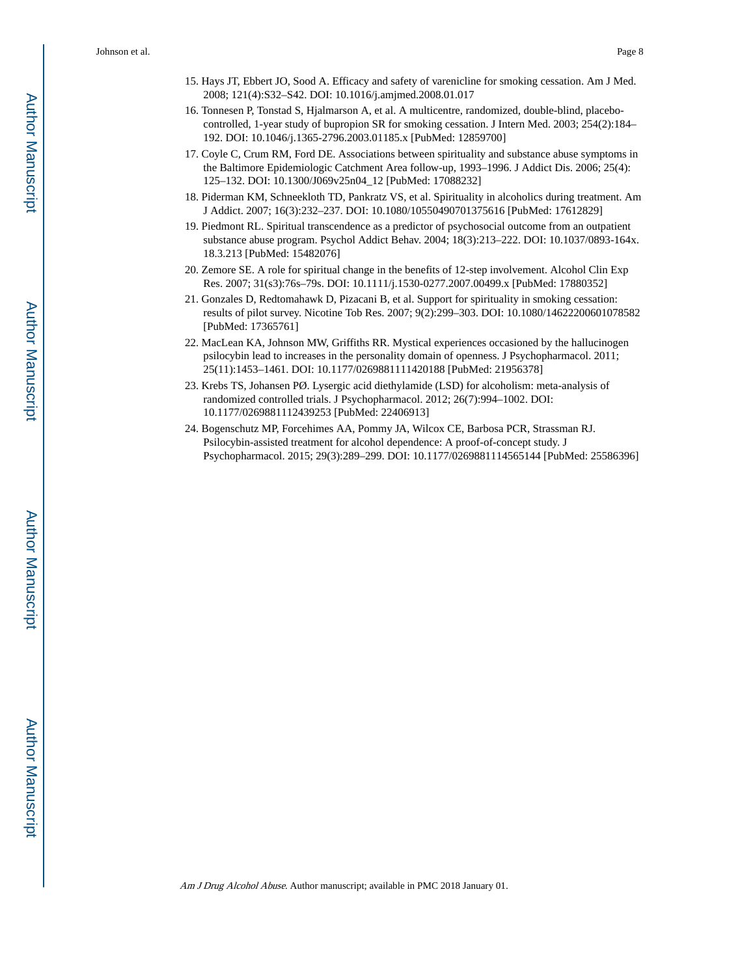- 15. Hays JT, Ebbert JO, Sood A. Efficacy and safety of varenicline for smoking cessation. Am J Med. 2008; 121(4):S32–S42. DOI: 10.1016/j.amjmed.2008.01.017
- 16. Tonnesen P, Tonstad S, Hjalmarson A, et al. A multicentre, randomized, double-blind, placebocontrolled, 1-year study of bupropion SR for smoking cessation. J Intern Med. 2003; 254(2):184– 192. DOI: 10.1046/j.1365-2796.2003.01185.x [PubMed: 12859700]
- 17. Coyle C, Crum RM, Ford DE. Associations between spirituality and substance abuse symptoms in the Baltimore Epidemiologic Catchment Area follow-up, 1993–1996. J Addict Dis. 2006; 25(4): 125–132. DOI: 10.1300/J069v25n04\_12 [PubMed: 17088232]
- 18. Piderman KM, Schneekloth TD, Pankratz VS, et al. Spirituality in alcoholics during treatment. Am J Addict. 2007; 16(3):232–237. DOI: 10.1080/10550490701375616 [PubMed: 17612829]
- 19. Piedmont RL. Spiritual transcendence as a predictor of psychosocial outcome from an outpatient substance abuse program. Psychol Addict Behav. 2004; 18(3):213–222. DOI: 10.1037/0893-164x. 18.3.213 [PubMed: 15482076]
- 20. Zemore SE. A role for spiritual change in the benefits of 12-step involvement. Alcohol Clin Exp Res. 2007; 31(s3):76s–79s. DOI: 10.1111/j.1530-0277.2007.00499.x [PubMed: 17880352]
- 21. Gonzales D, Redtomahawk D, Pizacani B, et al. Support for spirituality in smoking cessation: results of pilot survey. Nicotine Tob Res. 2007; 9(2):299–303. DOI: 10.1080/14622200601078582 [PubMed: 17365761]
- 22. MacLean KA, Johnson MW, Griffiths RR. Mystical experiences occasioned by the hallucinogen psilocybin lead to increases in the personality domain of openness. J Psychopharmacol. 2011; 25(11):1453–1461. DOI: 10.1177/0269881111420188 [PubMed: 21956378]
- 23. Krebs TS, Johansen PØ. Lysergic acid diethylamide (LSD) for alcoholism: meta-analysis of randomized controlled trials. J Psychopharmacol. 2012; 26(7):994–1002. DOI: 10.1177/0269881112439253 [PubMed: 22406913]
- 24. Bogenschutz MP, Forcehimes AA, Pommy JA, Wilcox CE, Barbosa PCR, Strassman RJ. Psilocybin-assisted treatment for alcohol dependence: A proof-of-concept study. J Psychopharmacol. 2015; 29(3):289–299. DOI: 10.1177/0269881114565144 [PubMed: 25586396]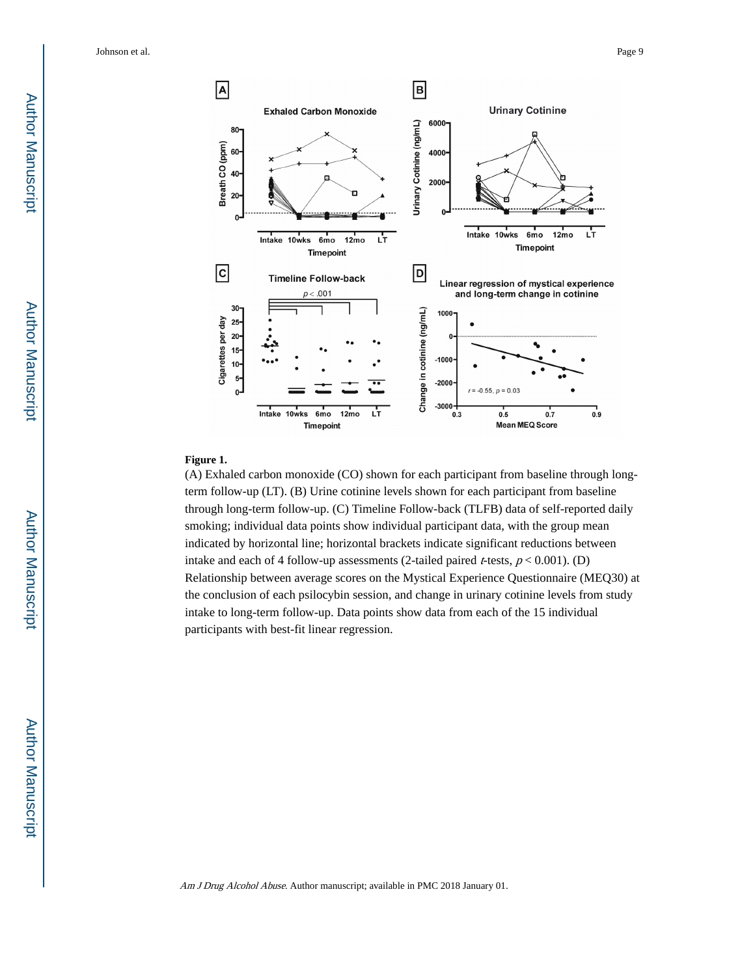Johnson et al. Page 9



#### **Figure 1.**

(A) Exhaled carbon monoxide (CO) shown for each participant from baseline through longterm follow-up (LT). (B) Urine cotinine levels shown for each participant from baseline through long-term follow-up. (C) Timeline Follow-back (TLFB) data of self-reported daily smoking; individual data points show individual participant data, with the group mean indicated by horizontal line; horizontal brackets indicate significant reductions between intake and each of 4 follow-up assessments (2-tailed paired *t*-tests,  $p < 0.001$ ). (D) Relationship between average scores on the Mystical Experience Questionnaire (MEQ30) at the conclusion of each psilocybin session, and change in urinary cotinine levels from study intake to long-term follow-up. Data points show data from each of the 15 individual participants with best-fit linear regression.